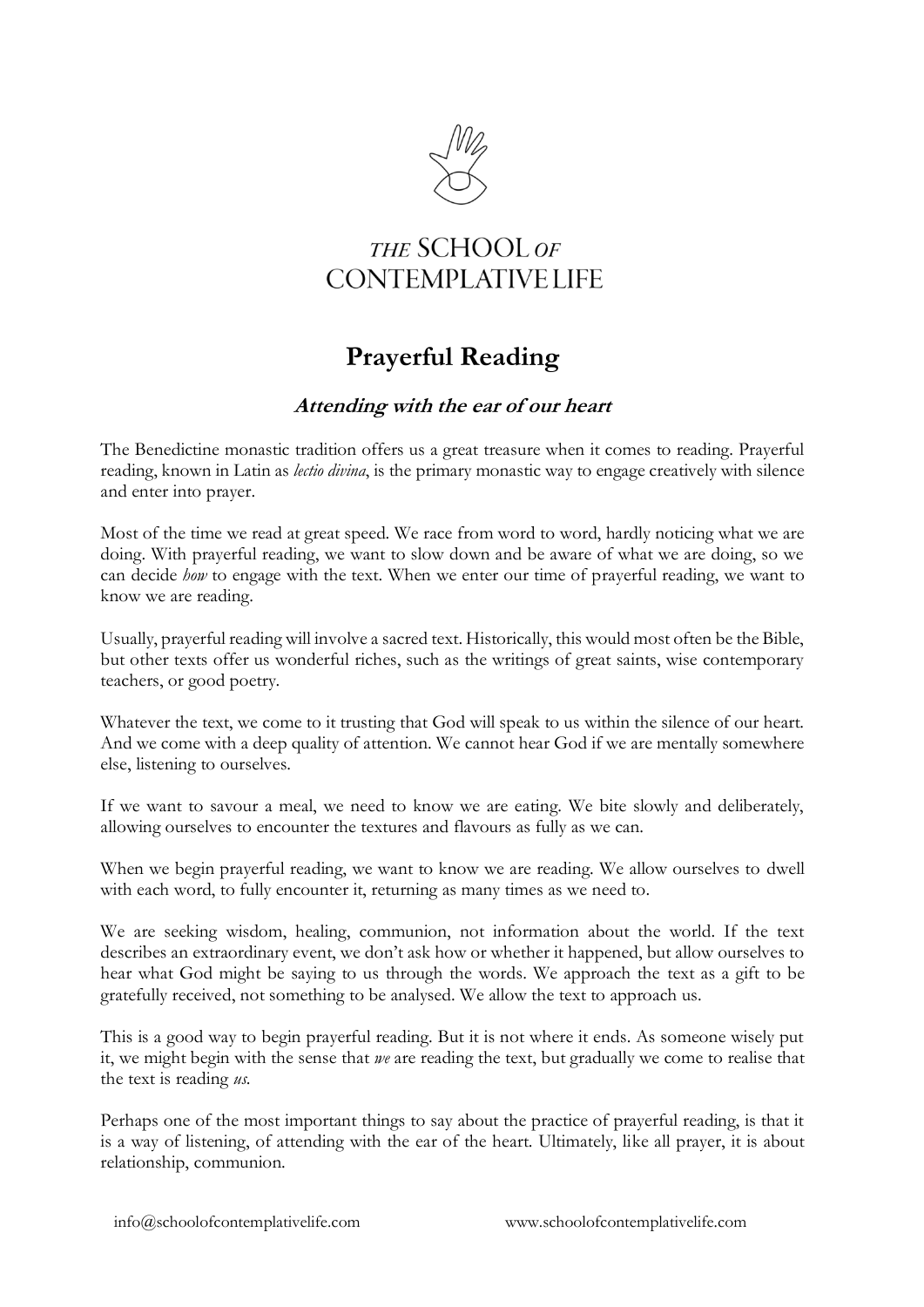

## THE SCHOOL OF **CONTEMPLATIVE LIFE**

# **Prayerful Reading**

## **Attending with the ear of our heart**

The Benedictine monastic tradition offers us a great treasure when it comes to reading. Prayerful reading, known in Latin as *lectio divina*, is the primary monastic way to engage creatively with silence and enter into prayer.

Most of the time we read at great speed. We race from word to word, hardly noticing what we are doing. With prayerful reading, we want to slow down and be aware of what we are doing, so we can decide *how* to engage with the text. When we enter our time of prayerful reading, we want to know we are reading.

Usually, prayerful reading will involve a sacred text. Historically, this would most often be the Bible, but other texts offer us wonderful riches, such as the writings of great saints, wise contemporary teachers, or good poetry.

Whatever the text, we come to it trusting that God will speak to us within the silence of our heart. And we come with a deep quality of attention. We cannot hear God if we are mentally somewhere else, listening to ourselves.

If we want to savour a meal, we need to know we are eating. We bite slowly and deliberately, allowing ourselves to encounter the textures and flavours as fully as we can.

When we begin prayerful reading, we want to know we are reading. We allow ourselves to dwell with each word, to fully encounter it, returning as many times as we need to.

We are seeking wisdom, healing, communion, not information about the world. If the text describes an extraordinary event, we don't ask how or whether it happened, but allow ourselves to hear what God might be saying to us through the words. We approach the text as a gift to be gratefully received, not something to be analysed. We allow the text to approach us.

This is a good way to begin prayerful reading. But it is not where it ends. As someone wisely put it, we might begin with the sense that *we* are reading the text, but gradually we come to realise that the text is reading *us*.

Perhaps one of the most important things to say about the practice of prayerful reading, is that it is a way of listening, of attending with the ear of the heart. Ultimately, like all prayer, it is about relationship, communion.